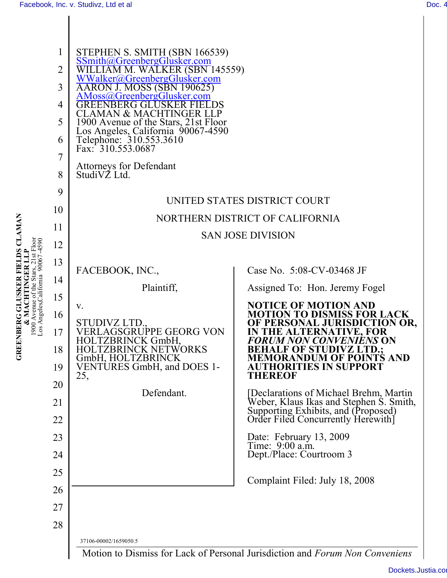**GREENBERG GLUSKER FIELDS CLAMAN & MACHTINGER LLP**

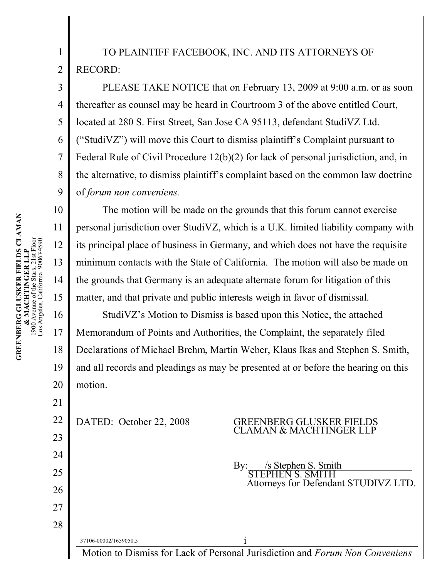## TO PLAINTIFF FACEBOOK, INC. AND ITS ATTORNEYS OF RECORD:

PLEASE TAKE NOTICE that on February 13, 2009 at 9:00 a.m. or as soon thereafter as counsel may be heard in Courtroom 3 of the above entitled Court, located at 280 S. First Street, San Jose CA 95113, defendant StudiVZ Ltd. ("StudiVZ") will move this Court to dismiss plaintiff's Complaint pursuant to Federal Rule of Civil Procedure 12(b)(2) for lack of personal jurisdiction, and, in the alternative, to dismiss plaintiff's complaint based on the common law doctrine of *forum non conveniens.*

The motion will be made on the grounds that this forum cannot exercise personal jurisdiction over StudiVZ, which is a U.K. limited liability company with its principal place of business in Germany, and which does not have the requisite minimum contacts with the State of California. The motion will also be made on the grounds that Germany is an adequate alternate forum for litigation of this matter, and that private and public interests weigh in favor of dismissal.

19 20 StudiVZ's Motion to Dismiss is based upon this Notice, the attached Memorandum of Points and Authorities, the Complaint, the separately filed Declarations of Michael Brehm, Martin Weber, Klaus Ikas and Stephen S. Smith, and all records and pleadings as may be presented at or before the hearing on this motion.

22

#### DATED: October 22, 2008 GREENBERG GLUSKER FIEL CLAMAN & MACHTINGER LLP

By: /s Stephen S. Smith STEPHEN S. SMITH Attorneys for Defendant STUDIVZ LTD.

37106-00002/1659050.5 i Motion to Dismiss for Lack of Personal Jurisdiction and *Forum Non Conveniens*

1

 $\mathcal{L}$ 

3

4

5

6

7

8

9

10

11

12

13

14

15

16

17

18

21

23

24

25

26

27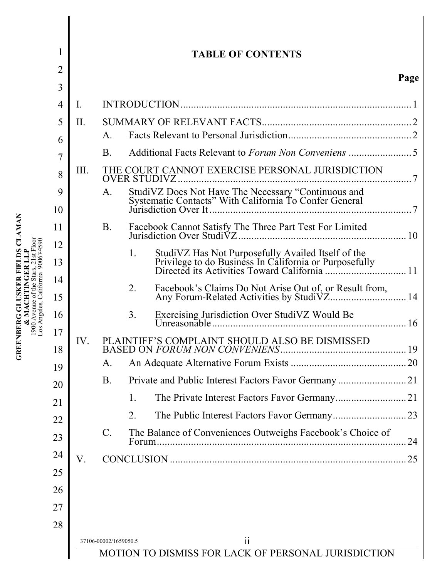|                | <b>TABLE OF CONTENTS</b>                            |                                                   |                                                                         |      |  |
|----------------|-----------------------------------------------------|---------------------------------------------------|-------------------------------------------------------------------------|------|--|
| $\overline{2}$ |                                                     |                                                   |                                                                         | Page |  |
| $\overline{3}$ |                                                     |                                                   |                                                                         |      |  |
| 4              | $\mathbf{I}$ .                                      |                                                   |                                                                         |      |  |
| 5              | II.                                                 |                                                   |                                                                         |      |  |
| 6              |                                                     | $A_{1}$                                           |                                                                         |      |  |
| 7              |                                                     | <b>B</b> .                                        |                                                                         |      |  |
| 8              | III.                                                |                                                   | THE COURT CANNOT EXERCISE PERSONAL JURISDICTION<br><b>OVER STUDIVZ.</b> |      |  |
| 9              |                                                     | A.                                                |                                                                         |      |  |
| 10             |                                                     |                                                   |                                                                         |      |  |
| 11             |                                                     | B.                                                |                                                                         |      |  |
| 12             |                                                     |                                                   | $\mathbf{1}$ .                                                          |      |  |
| 13             |                                                     |                                                   |                                                                         |      |  |
| 14<br>15       |                                                     |                                                   | 2.                                                                      |      |  |
|                |                                                     |                                                   | 3 <sub>1</sub>                                                          |      |  |
| 16<br>17       |                                                     |                                                   |                                                                         |      |  |
| 18             | IV.                                                 |                                                   | PLAINTIFF'S COMPLAINT SHOULD ALSO BE DISMISSED                          |      |  |
| 19             |                                                     | A.                                                |                                                                         |      |  |
| 20             |                                                     | <b>B.</b>                                         |                                                                         |      |  |
| 21             |                                                     |                                                   | 1.                                                                      |      |  |
| 22             |                                                     |                                                   | 2.                                                                      |      |  |
| 23             |                                                     | $\mathcal{C}$ .                                   | The Balance of Conveniences Outweighs Facebook's Choice of<br>Forum.    | 24   |  |
| 24             | V.                                                  |                                                   |                                                                         | 25   |  |
| 25             |                                                     |                                                   |                                                                         |      |  |
| 26             |                                                     |                                                   |                                                                         |      |  |
| 27             |                                                     |                                                   |                                                                         |      |  |
| 28             |                                                     |                                                   |                                                                         |      |  |
|                |                                                     | $\overline{\mathbf{ii}}$<br>37106-00002/1659050.5 |                                                                         |      |  |
|                | MOTION TO DISMISS FOR LACK OF PERSONAL JURISDICTION |                                                   |                                                                         |      |  |

**GREENBERG GLUSKER FIELDS CLAMAN**<br>
& MACHTINGER LLP<br>
1900 Avenue of the Stars, 21st Floor<br>
Los Angeles, California 900674590 **GREENBERG GLUSKER FIELDS CLAMAN**  1900 Avenue of the Stars, 21st Floor **& MACHTINGER LLP**

Los Angeles, California 90067-4590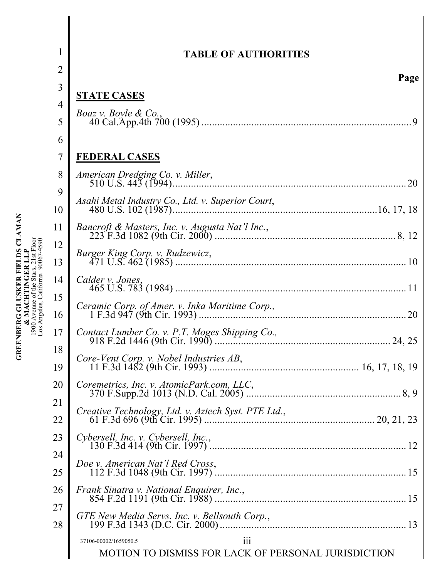| <b>TABLE OF AUTHORITIES</b>                                                         |
|-------------------------------------------------------------------------------------|
| Page                                                                                |
| <b>STATE CASES</b>                                                                  |
| <i>Boaz v. Boyle &amp; Co.</i> ,                                                    |
|                                                                                     |
| <b>FEDERAL CASES</b>                                                                |
|                                                                                     |
|                                                                                     |
|                                                                                     |
|                                                                                     |
|                                                                                     |
|                                                                                     |
| Calder v. Jones,                                                                    |
|                                                                                     |
|                                                                                     |
|                                                                                     |
| $\dots$ 16, 17, 18, 19                                                              |
| Coremetrics, Inc. v. AtomicPark.com, LLC,                                           |
| Creative Technology, Ltd. v. Aztech Syst. PTE Ltd.,                                 |
|                                                                                     |
| Cybersell, Inc. v. Cybersell, Inc.,                                                 |
| Doe v. American Nat'l Red Cross,                                                    |
| Frank Sinatra v. National Enquirer, Inc.,                                           |
| GTE New Media Servs. Inc. v. Bellsouth Corp.,                                       |
|                                                                                     |
| 37106-00002/1659050.5<br>111<br>MOTION TO DISMISS FOR LACK OF PERSONAL JURISDICTION |
|                                                                                     |

**GREENBERG GLUSKER FIELDS CLAMAN**<br>
& MACHTINGER LLP<br>
1900 Avenue of the Stars, 21st Floor<br>
Los Angeles, California 90067-4590 **GREENBERG GLUSKER FIELDS CLAMAN**  1900 Avenue of the Stars, 21st Floor Los Angeles, California 90067-4590 **& MACHTINGER LLP**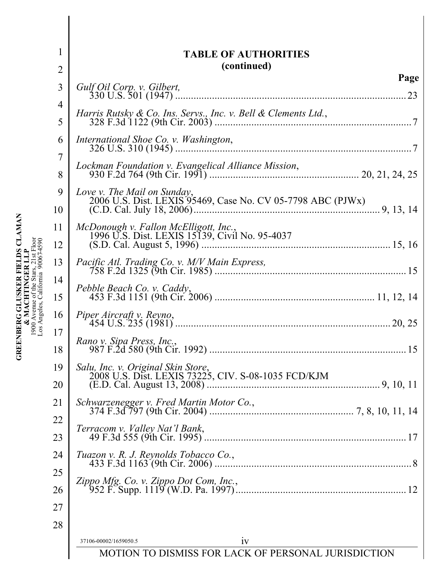| $\overline{2}$      | <b>TABLE OF AUTHORITIES</b><br>(continued)                                                 |
|---------------------|--------------------------------------------------------------------------------------------|
| $\overline{3}$      | Page                                                                                       |
|                     | 23                                                                                         |
| $\overline{4}$<br>5 | Harris Rutsky & Co. Ins. Servs., Inc. v. Bell & Clements Ltd.,                             |
| 6                   |                                                                                            |
| $\overline{7}$<br>8 | Lockman Foundation v. Evangelical Alliance Mission,                                        |
| 9<br>10             | Love v. The Mail on Sunday,<br>2006 U.S. Dist. LEXIS 95469, Case No. CV 05-7798 ABC (PJWx) |
| 11<br>12            |                                                                                            |
| 13                  |                                                                                            |
| 14<br>15            |                                                                                            |
| 16                  |                                                                                            |
| 17<br>18            | Rano v. Sipa Press, Inc.,                                                                  |
| 19<br>20            | Salu, Inc. v. Original Skin Store,<br>2008 U.S. Dist. LEXIS 73225, CIV. S-08-1035 FCD/KJM  |
| 21                  |                                                                                            |
| 22<br>23            | Terracom v. Valley Nat'l Bank,                                                             |
| 24                  | Tuazon v. R. J. Reynolds Tobacco Co.,                                                      |
| 25                  |                                                                                            |
| 26<br>27            |                                                                                            |
| 28                  |                                                                                            |
|                     | 37106-00002/1659050.5<br>1V                                                                |
|                     | MOTION TO DISMISS FOR LACK OF PERSONAL JURISDICTION                                        |

**GREENBERG GLUSKER FIELDS CLAMAN**<br>
& MACHTINGER LLP<br>
1900 Avenue of the Stars, 21st Floor<br>
Los Angeles, California 900674590 **GREENBERG GLUSKER FIELDS CLAMAN**  1900 Avenue of the Stars, 21st Floor Los Angeles, California 90067-4590 **& MACHTINGER LLP**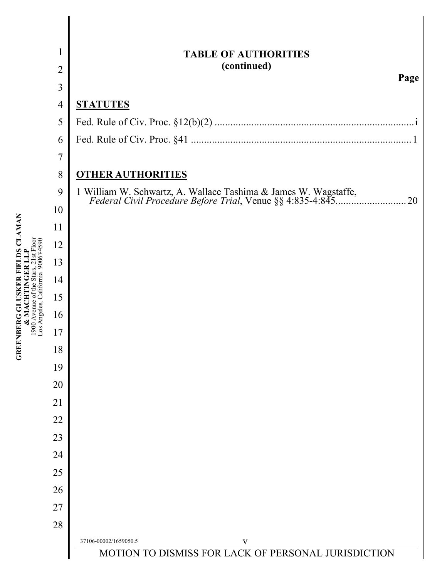|                                                     | 1              | <b>TABLE OF AUTHORITIES</b>                                                                                                |  |  |  |
|-----------------------------------------------------|----------------|----------------------------------------------------------------------------------------------------------------------------|--|--|--|
|                                                     | $\overline{2}$ | (continued)<br>Page                                                                                                        |  |  |  |
|                                                     | 3              |                                                                                                                            |  |  |  |
|                                                     | $\overline{4}$ | <b>STATUTES</b>                                                                                                            |  |  |  |
|                                                     | 5              |                                                                                                                            |  |  |  |
|                                                     | 6              |                                                                                                                            |  |  |  |
|                                                     | $\overline{7}$ |                                                                                                                            |  |  |  |
|                                                     | 8              | <b>OTHER AUTHORITIES</b>                                                                                                   |  |  |  |
|                                                     | 9              | 1 William W. Schwartz, A. Wallace Tashima & James W. Wagstaffe, Federal Civil Procedure Before Trial, Venue §§ 4:835-4:845 |  |  |  |
|                                                     | 10             |                                                                                                                            |  |  |  |
|                                                     | 11             |                                                                                                                            |  |  |  |
| log<br>590                                          | 12             |                                                                                                                            |  |  |  |
|                                                     | 13             |                                                                                                                            |  |  |  |
|                                                     | 14             |                                                                                                                            |  |  |  |
| GREENBERG GLUSKER FIELDS CLAMAN<br>1900 Avenue of t | 15             |                                                                                                                            |  |  |  |
| Los Angeles,                                        | 16             |                                                                                                                            |  |  |  |
|                                                     | 17             |                                                                                                                            |  |  |  |
|                                                     | 18             |                                                                                                                            |  |  |  |
|                                                     | 19             |                                                                                                                            |  |  |  |
|                                                     | 20             |                                                                                                                            |  |  |  |
|                                                     | 21             |                                                                                                                            |  |  |  |
|                                                     | 22             |                                                                                                                            |  |  |  |
|                                                     | 23             |                                                                                                                            |  |  |  |
|                                                     | 24             |                                                                                                                            |  |  |  |
|                                                     | 25             |                                                                                                                            |  |  |  |
|                                                     | 26             |                                                                                                                            |  |  |  |
|                                                     | 27             |                                                                                                                            |  |  |  |
|                                                     | 28             |                                                                                                                            |  |  |  |
|                                                     |                | 37106-00002/1659050.5<br>V<br>MOTION TO DISMISS FOR LACK OF PERSONAL JURISDICTION                                          |  |  |  |

┃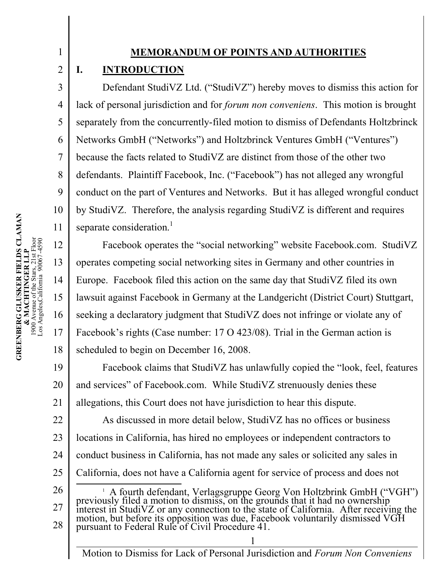### **MEMORANDUM OF POINTS AND AUTHORITIES**

### **I. INTRODUCTION**

1

2

3

4

5

6

7

8

9

10

11

12

13

14

15

16

17

18

Defendant StudiVZ Ltd. ("StudiVZ") hereby moves to dismiss this action for lack of personal jurisdiction and for *forum non conveniens*. This motion is brought separately from the concurrently-filed motion to dismiss of Defendants Holtzbrinck Networks GmbH ("Networks") and Holtzbrinck Ventures GmbH ("Ventures") because the facts related to StudiVZ are distinct from those of the other two defendants. Plaintiff Facebook, Inc. ("Facebook") has not alleged any wrongful conduct on the part of Ventures and Networks. But it has alleged wrongful conduct by StudiVZ. Therefore, the analysis regarding StudiVZ is different and requires separate consideration.<sup>1</sup>

Facebook operates the "social networking" website Facebook.com. StudiVZ operates competing social networking sites in Germany and other countries in Europe. Facebook filed this action on the same day that StudiVZ filed its own lawsuit against Facebook in Germany at the Landgericht (District Court) Stuttgart, seeking a declaratory judgment that StudiVZ does not infringe or violate any of Facebook's rights (Case number: 17 O 423/08). Trial in the German action is scheduled to begin on December 16, 2008.

19 20 21 22 Facebook claims that StudiVZ has unlawfully copied the "look, feel, features and services" of Facebook.com. While StudiVZ strenuously denies these allegations, this Court does not have jurisdiction to hear this dispute. As discussed in more detail below, StudiVZ has no offices or business

23 24 locations in California, has hired no employees or independent contractors to conduct business in California, has not made any sales or solicited any sales in

- 25 California, does not have a California agent for service of process and does not
- 26 27 28 <sup>1</sup> A fourth defendant, Verlagsgruppe Georg Von Holtzbrink GmbH ("VGH") previously filed a motion to dismiss, on the grounds that it had no ownership interest in StudiVZ or any connection to the state of California. After receiving the motion, but before its opposition was due, Facebook voluntarily dismissed VGH pursuant to Federal Rule of Civil Procedure 41.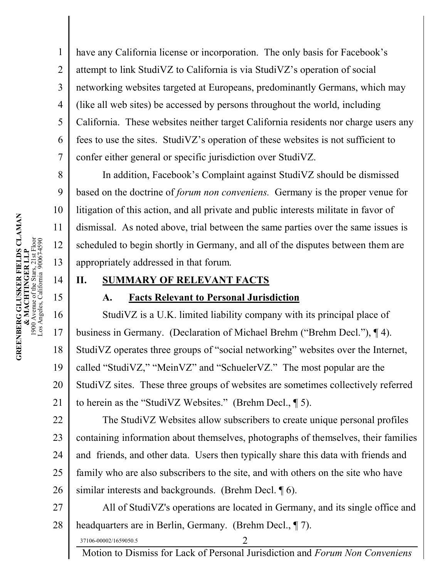have any California license or incorporation. The only basis for Facebook's attempt to link StudiVZ to California is via StudiVZ's operation of social networking websites targeted at Europeans, predominantly Germans, which may (like all web sites) be accessed by persons throughout the world, including California. These websites neither target California residents nor charge users any fees to use the sites. StudiVZ's operation of these websites is not sufficient to confer either general or specific jurisdiction over StudiVZ.

In addition, Facebook's Complaint against StudiVZ should be dismissed based on the doctrine of *forum non conveniens.* Germany is the proper venue for litigation of this action, and all private and public interests militate in favor of dismissal. As noted above, trial between the same parties over the same issues is scheduled to begin shortly in Germany, and all of the disputes between them are appropriately addressed in that forum.

### **II. SUMMARY OF RELEVANT FACTS**

### **A. Facts Relevant to Personal Jurisdiction**

16 17 18 19 20 21 StudiVZ is a U.K. limited liability company with its principal place of business in Germany. (Declaration of Michael Brehm ("Brehm Decl."), ¶ 4). StudiVZ operates three groups of "social networking" websites over the Internet, called "StudiVZ," "MeinVZ" and "SchuelerVZ." The most popular are the StudiVZ sites. These three groups of websites are sometimes collectively referred to herein as the "StudiVZ Websites." (Brehm Decl., ¶ 5).

22 23 24 25 26 The StudiVZ Websites allow subscribers to create unique personal profiles containing information about themselves, photographs of themselves, their families and friends, and other data. Users then typically share this data with friends and family who are also subscribers to the site, and with others on the site who have similar interests and backgrounds. (Brehm Decl. ¶ 6).

27 28 All of StudiVZ's operations are located in Germany, and its single office and headquarters are in Berlin, Germany. (Brehm Decl., ¶ 7).

37106-00002/1659050.5 2

Motion to Dismiss for Lack of Personal Jurisdiction and *Forum Non Conveniens*

1

2

3

4

5

6

7

8

9

10

11

12

13

14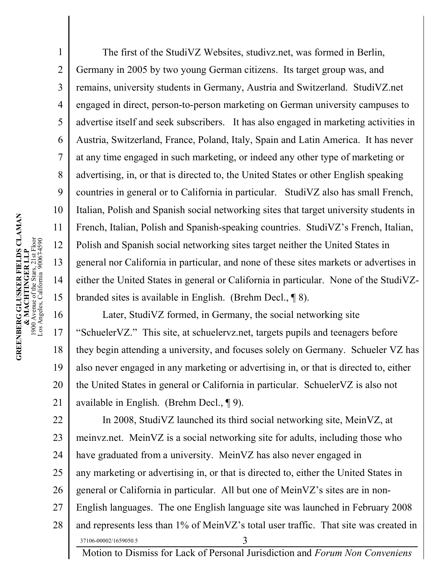The first of the StudiVZ Websites, studivz.net, was formed in Berlin, Germany in 2005 by two young German citizens. Its target group was, and remains, university students in Germany, Austria and Switzerland. StudiVZ.net engaged in direct, person-to-person marketing on German university campuses to advertise itself and seek subscribers. It has also engaged in marketing activities in Austria, Switzerland, France, Poland, Italy, Spain and Latin America. It has never at any time engaged in such marketing, or indeed any other type of marketing or advertising, in, or that is directed to, the United States or other English speaking countries in general or to California in particular. StudiVZ also has small French, Italian, Polish and Spanish social networking sites that target university students in French, Italian, Polish and Spanish-speaking countries. StudiVZ's French, Italian, Polish and Spanish social networking sites target neither the United States in general nor California in particular, and none of these sites markets or advertises in either the United States in general or California in particular. None of the StudiVZbranded sites is available in English. (Brehm Decl., ¶ 8).

16 17 18 19 20 21 Later, StudiVZ formed, in Germany, the social networking site "SchuelerVZ." This site, at schuelervz.net, targets pupils and teenagers before they begin attending a university, and focuses solely on Germany. Schueler VZ has also never engaged in any marketing or advertising in, or that is directed to, either the United States in general or California in particular. SchuelerVZ is also not available in English. (Brehm Decl., ¶ 9).

22 23 24 25 26 27 28 37106-00002/1659050.5 3 Motion to Dismiss for Lack of Personal Jurisdiction and *Forum Non Conveniens* In 2008, StudiVZ launched its third social networking site, MeinVZ, at meinvz.net. MeinVZ is a social networking site for adults, including those who have graduated from a university. MeinVZ has also never engaged in any marketing or advertising in, or that is directed to, either the United States in general or California in particular. All but one of MeinVZ's sites are in non-English languages. The one English language site was launched in February 2008 and represents less than 1% of MeinVZ's total user traffic. That site was created in

1

2

3

4

5

6

7

8

9

10

11

12

13

14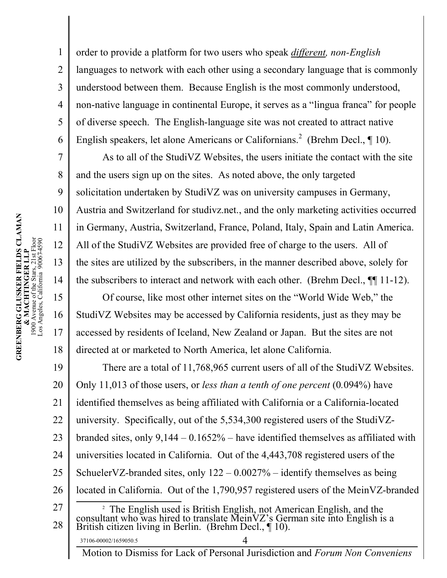2 3 4 5 6 order to provide a platform for two users who speak *different, non-English* languages to network with each other using a secondary language that is commonly understood between them. Because English is the most commonly understood, non-native language in continental Europe, it serves as a "lingua franca" for people of diverse speech. The English-language site was not created to attract native English speakers, let alone Americans or Californians.<sup>2</sup> (Brehm Decl.,  $\P$  10).

As to all of the StudiVZ Websites, the users initiate the contact with the site and the users sign up on the sites. As noted above, the only targeted solicitation undertaken by StudiVZ was on university campuses in Germany, Austria and Switzerland for studivz.net., and the only marketing activities occurred in Germany, Austria, Switzerland, France, Poland, Italy, Spain and Latin America. All of the StudiVZ Websites are provided free of charge to the users. All of the sites are utilized by the subscribers, in the manner described above, solely for the subscribers to interact and network with each other. (Brehm Decl., ¶¶ 11-12).

Of course, like most other internet sites on the "World Wide Web," the StudiVZ Websites may be accessed by California residents, just as they may be accessed by residents of Iceland, New Zealand or Japan. But the sites are not directed at or marketed to North America, let alone California.

19 20 21 22 23 24 25 26 27 28 There are a total of 11,768,965 current users of all of the StudiVZ Websites. Only 11,013 of those users, or *less than a tenth of one percent* (0*.*094%) have identified themselves as being affiliated with California or a California-located university. Specifically, out of the 5,534,300 registered users of the StudiVZbranded sites, only 9,144 – 0.1652% – have identified themselves as affiliated with universities located in California. Out of the 4,443,708 registered users of the SchuelerVZ-branded sites, only  $122 - 0.0027\%$  – identify themselves as being located in California. Out of the 1,790,957 registered users of the MeinVZ-branded <sup>2</sup> The English used is British English, not American English, and the consultant who was hired to translate MeinVZ's German site into English is a British citizen living in Berlin. (Brehm Decl., ¶ 10).

Motion to Dismiss for Lack of Personal Jurisdiction and *Forum Non Conveniens*

1

7

8

9

10

11

12

13

14

15

16

17

18

37106-00002/1659050.5 4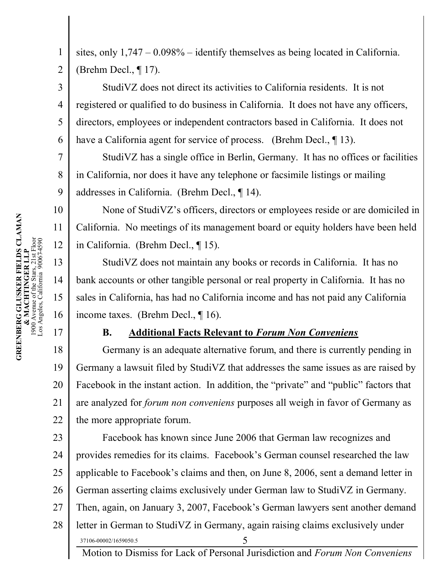sites, only  $1,747 - 0.098\%$  – identify themselves as being located in California.

(Brehm Decl., ¶ 17).

1

2

3

4

5

6

7

8

9

10

11

12

13

14

15

16

17

StudiVZ does not direct its activities to California residents. It is not registered or qualified to do business in California. It does not have any officers, directors, employees or independent contractors based in California. It does not have a California agent for service of process. (Brehm Decl., 13).

StudiVZ has a single office in Berlin, Germany. It has no offices or facilities in California, nor does it have any telephone or facsimile listings or mailing addresses in California. (Brehm Decl., ¶ 14).

None of StudiVZ's officers, directors or employees reside or are domiciled in California. No meetings of its management board or equity holders have been held in California. (Brehm Decl., ¶ 15).

StudiVZ does not maintain any books or records in California. It has no bank accounts or other tangible personal or real property in California. It has no sales in California, has had no California income and has not paid any California income taxes. (Brehm Decl., ¶ 16).

### **B. Additional Facts Relevant to** *Forum Non Conveniens*

18 19 20 21 22 Germany is an adequate alternative forum, and there is currently pending in Germany a lawsuit filed by StudiVZ that addresses the same issues as are raised by Facebook in the instant action. In addition, the "private" and "public" factors that are analyzed for *forum non conveniens* purposes all weigh in favor of Germany as the more appropriate forum.

23 24 25 26 27 28 37106-00002/1659050.5 5 Facebook has known since June 2006 that German law recognizes and provides remedies for its claims. Facebook's German counsel researched the law applicable to Facebook's claims and then, on June 8, 2006, sent a demand letter in German asserting claims exclusively under German law to StudiVZ in Germany. Then, again, on January 3, 2007, Facebook's German lawyers sent another demand letter in German to StudiVZ in Germany, again raising claims exclusively under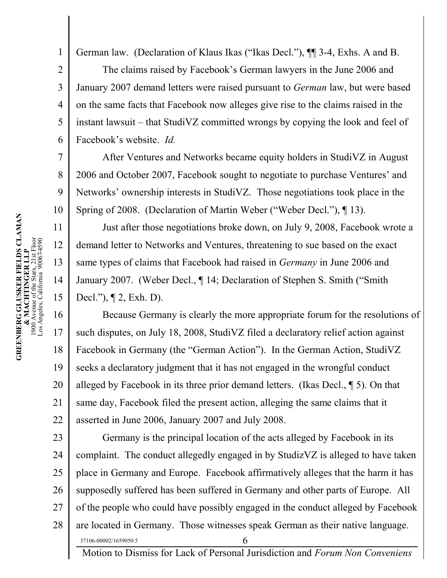German law. (Declaration of Klaus Ikas ("Ikas Decl."), ¶¶ 3-4, Exhs. A and B.

The claims raised by Facebook's German lawyers in the June 2006 and January 2007 demand letters were raised pursuant to *German* law, but were based on the same facts that Facebook now alleges give rise to the claims raised in the instant lawsuit – that StudiVZ committed wrongs by copying the look and feel of Facebook's website. *Id.* 

After Ventures and Networks became equity holders in StudiVZ in August 2006 and October 2007, Facebook sought to negotiate to purchase Ventures' and Networks' ownership interests in StudiVZ. Those negotiations took place in the Spring of 2008. (Declaration of Martin Weber ("Weber Decl."), ¶ 13).

Just after those negotiations broke down, on July 9, 2008, Facebook wrote a demand letter to Networks and Ventures, threatening to sue based on the exact same types of claims that Facebook had raised in *Germany* in June 2006 and January 2007. (Weber Decl., ¶ 14; Declaration of Stephen S. Smith ("Smith Decl."), ¶ 2, Exh. D).

16 17 18 19 20 21 22 Because Germany is clearly the more appropriate forum for the resolutions of such disputes, on July 18, 2008, StudiVZ filed a declaratory relief action against Facebook in Germany (the "German Action"). In the German Action, StudiVZ seeks a declaratory judgment that it has not engaged in the wrongful conduct alleged by Facebook in its three prior demand letters. (Ikas Decl., ¶ 5). On that same day, Facebook filed the present action, alleging the same claims that it asserted in June 2006, January 2007 and July 2008.

23 24 25 26 27 28 37106-00002/1659050.5 6 Germany is the principal location of the acts alleged by Facebook in its complaint. The conduct allegedly engaged in by StudizVZ is alleged to have taken place in Germany and Europe. Facebook affirmatively alleges that the harm it has supposedly suffered has been suffered in Germany and other parts of Europe. All of the people who could have possibly engaged in the conduct alleged by Facebook are located in Germany. Those witnesses speak German as their native language.

Motion to Dismiss for Lack of Personal Jurisdiction and *Forum Non Conveniens*

1

2

3

4

5

6

7

8

9

10

11

12

13

14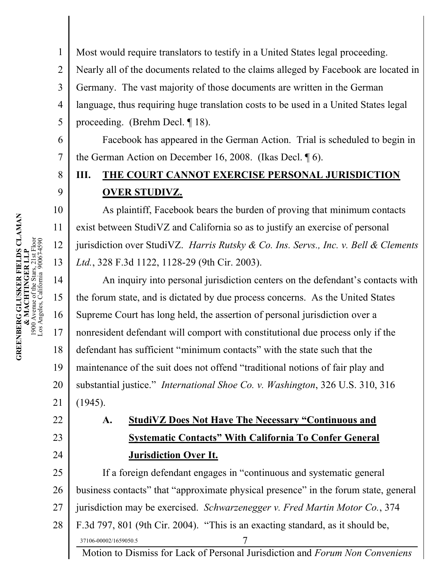1 2 3 4 5 Most would require translators to testify in a United States legal proceeding. Nearly all of the documents related to the claims alleged by Facebook are located in Germany. The vast majority of those documents are written in the German language, thus requiring huge translation costs to be used in a United States legal proceeding. (Brehm Decl. ¶ 18).

Facebook has appeared in the German Action. Trial is scheduled to begin in the German Action on December 16, 2008. (Ikas Decl. ¶ 6).

## **III. THE COURT CANNOT EXERCISE PERSONAL JURISDICTION OVER STUDIVZ.**

As plaintiff, Facebook bears the burden of proving that minimum contacts exist between StudiVZ and California so as to justify an exercise of personal jurisdiction over StudiVZ. *Harris Rutsky & Co. Ins. Servs., Inc. v. Bell & Clements Ltd.*, 328 F.3d 1122, 1128-29 (9th Cir. 2003).

14 15 16 17 18 19 20 21 An inquiry into personal jurisdiction centers on the defendant's contacts with the forum state, and is dictated by due process concerns. As the United States Supreme Court has long held, the assertion of personal jurisdiction over a nonresident defendant will comport with constitutional due process only if the defendant has sufficient "minimum contacts" with the state such that the maintenance of the suit does not offend "traditional notions of fair play and substantial justice." *International Shoe Co. v. Washington*, 326 U.S. 310, 316 (1945).

# **A. StudiVZ Does Not Have The Necessary "Continuous and Systematic Contacts" With California To Confer General Jurisdiction Over It.**

25 26 27 28 37106-00002/1659050.5 7 If a foreign defendant engages in "continuous and systematic general business contacts" that "approximate physical presence" in the forum state, general jurisdiction may be exercised. *Schwarzenegger v. Fred Martin Motor Co.*, 374 F.3d 797, 801 (9th Cir. 2004). "This is an exacting standard, as it should be,

Motion to Dismiss for Lack of Personal Jurisdiction and *Forum Non Conveniens*

6

7

8

9

10

11

12

13

22

23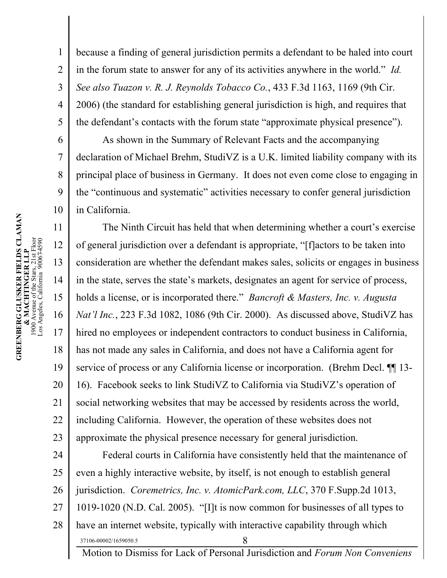2 3 4 5 because a finding of general jurisdiction permits a defendant to be haled into court in the forum state to answer for any of its activities anywhere in the world." *Id. See also Tuazon v. R. J. Reynolds Tobacco Co.*, 433 F.3d 1163, 1169 (9th Cir. 2006) (the standard for establishing general jurisdiction is high, and requires that the defendant's contacts with the forum state "approximate physical presence").

As shown in the Summary of Relevant Facts and the accompanying declaration of Michael Brehm, StudiVZ is a U.K. limited liability company with its principal place of business in Germany. It does not even come close to engaging in the "continuous and systematic" activities necessary to confer general jurisdiction in California.

11 12 14 15 16 17 18 19 20 21 22 23 The Ninth Circuit has held that when determining whether a court's exercise of general jurisdiction over a defendant is appropriate, "[f]actors to be taken into consideration are whether the defendant makes sales, solicits or engages in business in the state, serves the state's markets, designates an agent for service of process, holds a license, or is incorporated there." *Bancroft & Masters, Inc. v. Augusta Nat'l Inc.*, 223 F.3d 1082, 1086 (9th Cir. 2000). As discussed above, StudiVZ has hired no employees or independent contractors to conduct business in California, has not made any sales in California, and does not have a California agent for service of process or any California license or incorporation. (Brehm Decl.  $\P$  13-16). Facebook seeks to link StudiVZ to California via StudiVZ's operation of social networking websites that may be accessed by residents across the world, including California. However, the operation of these websites does not approximate the physical presence necessary for general jurisdiction.

24 25 26 27 28 37106-00002/1659050.5 8 Motion to Dismiss for Lack of Personal Jurisdiction and *Forum Non Conveniens* Federal courts in California have consistently held that the maintenance of even a highly interactive website, by itself, is not enough to establish general jurisdiction. *Coremetrics, Inc. v. AtomicPark.com, LLC*, 370 F.Supp.2d 1013, 1019-1020 (N.D. Cal. 2005). "[I]t is now common for businesses of all types to have an internet website, typically with interactive capability through which

1

6

7

8

9

10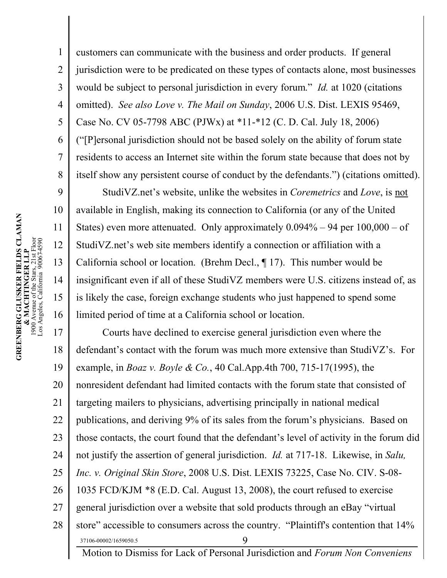1 2 3 4 5 6 7 8 customers can communicate with the business and order products. If general jurisdiction were to be predicated on these types of contacts alone, most businesses would be subject to personal jurisdiction in every forum." *Id.* at 1020 (citations omitted). *See also Love v. The Mail on Sunday*, 2006 U.S. Dist. LEXIS 95469, Case No. CV 05-7798 ABC (PJWx) at \*11-\*12 (C. D. Cal. July 18, 2006) ("[P]ersonal jurisdiction should not be based solely on the ability of forum state residents to access an Internet site within the forum state because that does not by itself show any persistent course of conduct by the defendants.") (citations omitted).

StudiVZ.net's website, unlike the websites in *Coremetrics* and *Love*, is not available in English, making its connection to California (or any of the United States) even more attenuated. Only approximately  $0.094\% - 94$  per  $100,000 -$  of StudiVZ.net's web site members identify a connection or affiliation with a California school or location. (Brehm Decl., ¶ 17). This number would be insignificant even if all of these StudiVZ members were U.S. citizens instead of, as is likely the case, foreign exchange students who just happened to spend some limited period of time at a California school or location.

17 18 19 20 21 22 23 24 25 26 27 28 37106-00002/1659050.5 9 Courts have declined to exercise general jurisdiction even where the defendant's contact with the forum was much more extensive than StudiVZ's. For example, in *Boaz v. Boyle & Co.*, 40 Cal.App.4th 700, 715-17(1995), the nonresident defendant had limited contacts with the forum state that consisted of targeting mailers to physicians, advertising principally in national medical publications, and deriving 9% of its sales from the forum's physicians. Based on those contacts, the court found that the defendant's level of activity in the forum did not justify the assertion of general jurisdiction. *Id.* at 717-18. Likewise, in *Salu, Inc. v. Original Skin Store*, 2008 U.S. Dist. LEXIS 73225, Case No. CIV. S-08- 1035 FCD/KJM \*8 (E.D. Cal. August 13, 2008), the court refused to exercise general jurisdiction over a website that sold products through an eBay "virtual store" accessible to consumers across the country. "Plaintiff's contention that 14%

Motion to Dismiss for Lack of Personal Jurisdiction and *Forum Non Conveniens*

9

10

11

12

13

14

15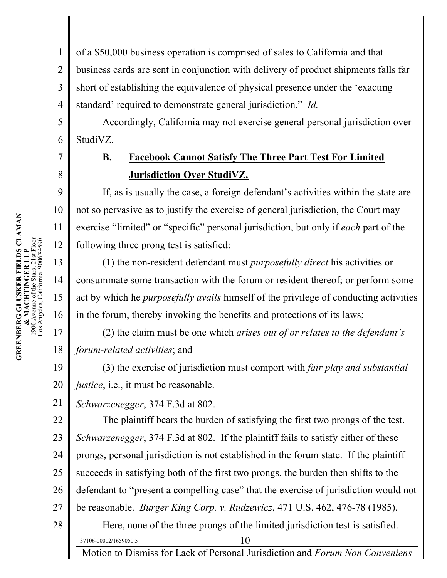1 2 3 4 of a \$50,000 business operation is comprised of sales to California and that business cards are sent in conjunction with delivery of product shipments falls far short of establishing the equivalence of physical presence under the 'exacting standard' required to demonstrate general jurisdiction." *Id.*

Accordingly, California may not exercise general personal jurisdiction over StudiVZ.

# **B. Facebook Cannot Satisfy The Three Part Test For Limited Jurisdiction Over StudiVZ.**

If, as is usually the case, a foreign defendant's activities within the state are not so pervasive as to justify the exercise of general jurisdiction, the Court may exercise "limited" or "specific" personal jurisdiction, but only if *each* part of the following three prong test is satisfied:

(1) the non-resident defendant must *purposefully direct* his activities or consummate some transaction with the forum or resident thereof; or perform some act by which he *purposefully avails* himself of the privilege of conducting activities in the forum, thereby invoking the benefits and protections of its laws;

(2) the claim must be one which *arises out of or relates to the defendant's forum-related activities*; and

19 20 (3) the exercise of jurisdiction must comport with *fair play and substantial justice*, *i.e.*, *it must be reasonable.* 

21 *Schwarzenegger*, 374 F.3d at 802.

22 23 24 25 26 27 28 The plaintiff bears the burden of satisfying the first two prongs of the test. *Schwarzenegger*, 374 F.3d at 802. If the plaintiff fails to satisfy either of these prongs, personal jurisdiction is not established in the forum state. If the plaintiff succeeds in satisfying both of the first two prongs, the burden then shifts to the defendant to "present a compelling case" that the exercise of jurisdiction would not be reasonable. *Burger King Corp. v. Rudzewicz*, 471 U.S. 462, 476-78 (1985). Here, none of the three prongs of the limited jurisdiction test is satisfied.

Motion to Dismiss for Lack of Personal Jurisdiction and *Forum Non Conveniens*

5

6

7

8

9

10

11

12

13

14

15

16

17

18

**GREENBERG GLUSKER FIELDS CLAMAN & MACHTINGER LLP** 1900 Avenue of the Stars, 21st Floor Los Angeles, California 90067-4590

**GREENBERG GLUSKER FIELDS CLAMAN**<br>& MACHTINGER LLP<br>1900 Avenue of the Stars, 21st Floor<br>Los Angeles, California 900674590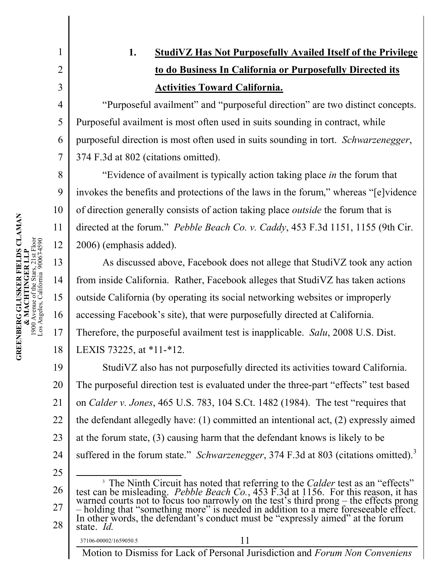**1. StudiVZ Has Not Purposefully Availed Itself of the Privilege to do Business In California or Purposefully Directed its Activities Toward California.**

"Purposeful availment" and "purposeful direction" are two distinct concepts. Purposeful availment is most often used in suits sounding in contract, while purposeful direction is most often used in suits sounding in tort. *Schwarzenegger*, 374 F.3d at 802 (citations omitted).

"Evidence of availment is typically action taking place *in* the forum that invokes the benefits and protections of the laws in the forum," whereas "[e]vidence of direction generally consists of action taking place *outside* the forum that is directed at the forum." *Pebble Beach Co. v. Caddy*, 453 F.3d 1151, 1155 (9th Cir. 2006) (emphasis added).

As discussed above, Facebook does not allege that StudiVZ took any action from inside California. Rather, Facebook alleges that StudiVZ has taken actions outside California (by operating its social networking websites or improperly accessing Facebook's site), that were purposefully directed at California. Therefore, the purposeful availment test is inapplicable. *Salu*, 2008 U.S. Dist. LEXIS 73225, at \*11-\*12.

19 20 21 22 23 24 StudiVZ also has not purposefully directed its activities toward California. The purposeful direction test is evaluated under the three-part "effects" test based on *Calder v. Jones*, 465 U.S. 783, 104 S.Ct. 1482 (1984). The test "requires that the defendant allegedly have: (1) committed an intentional act, (2) expressly aimed at the forum state, (3) causing harm that the defendant knows is likely to be suffered in the forum state." *Schwarzenegger*, 374 F.3d at 803 (citations omitted).<sup>3</sup>

25 26 27 28 <sup>3</sup> The Ninth Circuit has noted that referring to the *Calder* test as an "effects" test can be misleading. *Pebble Beach Co.*, 453 F.3d at 1156. For this reason, it has warned courts not to focus too narrowly on the test's third prong – the effects prong – holding that "something more" is needed in addition to a mere foreseeable effect. In other words, the defendant's conduct must be "expressly aimed" at the forum state. *Id.*

1

2

3

4

5

6

7

8

9

10

12

13

14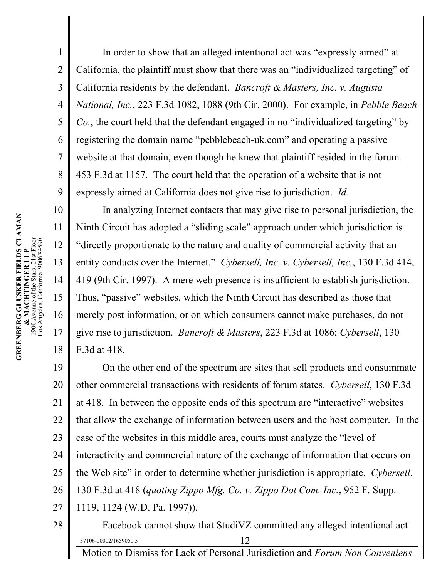In order to show that an alleged intentional act was "expressly aimed" at California, the plaintiff must show that there was an "individualized targeting" of California residents by the defendant. *Bancroft & Masters, Inc. v. Augusta National, Inc.*, 223 F.3d 1082, 1088 (9th Cir. 2000). For example, in *Pebble Beach Co.*, the court held that the defendant engaged in no "individualized targeting" by registering the domain name "pebblebeach-uk.com" and operating a passive website at that domain, even though he knew that plaintiff resided in the forum. 453 F.3d at 1157. The court held that the operation of a website that is not expressly aimed at California does not give rise to jurisdiction. *Id.*

In analyzing Internet contacts that may give rise to personal jurisdiction, the Ninth Circuit has adopted a "sliding scale" approach under which jurisdiction is "directly proportionate to the nature and quality of commercial activity that an entity conducts over the Internet." *Cybersell, Inc. v. Cybersell, Inc.*, 130 F.3d 414, 419 (9th Cir. 1997). A mere web presence is insufficient to establish jurisdiction. Thus, "passive" websites, which the Ninth Circuit has described as those that merely post information, or on which consumers cannot make purchases, do not give rise to jurisdiction. *Bancroft & Masters*, 223 F.3d at 1086; *Cybersell*, 130 F.3d at 418.

19 20 21 22 23 24 25 26 27 28 On the other end of the spectrum are sites that sell products and consummate other commercial transactions with residents of forum states. *Cybersell*, 130 F.3d at 418. In between the opposite ends of this spectrum are "interactive" websites that allow the exchange of information between users and the host computer. In the case of the websites in this middle area, courts must analyze the "level of interactivity and commercial nature of the exchange of information that occurs on the Web site" in order to determine whether jurisdiction is appropriate. *Cybersell*, 130 F.3d at 418 (*quoting Zippo Mfg. Co. v. Zippo Dot Com, Inc.*, 952 F. Supp. 1119, 1124 (W.D. Pa. 1997)). Facebook cannot show that StudiVZ committed any alleged intentional act

 $37106-00002/1659050.5$  12 Motion to Dismiss for Lack of Personal Jurisdiction and *Forum Non Conveniens*

1

2

3

4

5

6

7

8

9

10

11

12

13

14

15

16

17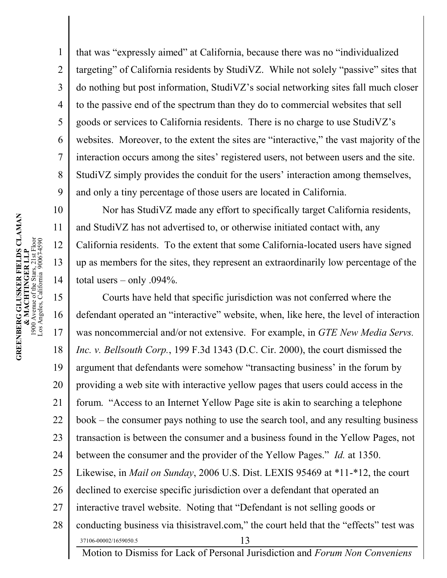that was "expressly aimed" at California, because there was no "individualized targeting" of California residents by StudiVZ. While not solely "passive" sites that do nothing but post information, StudiVZ's social networking sites fall much closer to the passive end of the spectrum than they do to commercial websites that sell goods or services to California residents. There is no charge to use StudiVZ's websites. Moreover, to the extent the sites are "interactive," the vast majority of the interaction occurs among the sites' registered users, not between users and the site. StudiVZ simply provides the conduit for the users' interaction among themselves, and only a tiny percentage of those users are located in California.

Nor has StudiVZ made any effort to specifically target California residents, and StudiVZ has not advertised to, or otherwise initiated contact with, any California residents. To the extent that some California-located users have signed up as members for the sites, they represent an extraordinarily low percentage of the total users – only .094%.

15 16 17 18 19 20 21 22 23 24 25 26 27 28 37106-00002/1659050.5 13 Courts have held that specific jurisdiction was not conferred where the defendant operated an "interactive" website, when, like here, the level of interaction was noncommercial and/or not extensive. For example, in *GTE New Media Servs. Inc. v. Bellsouth Corp.*, 199 F.3d 1343 (D.C. Cir. 2000), the court dismissed the argument that defendants were somehow "transacting business' in the forum by providing a web site with interactive yellow pages that users could access in the forum. "Access to an Internet Yellow Page site is akin to searching a telephone book – the consumer pays nothing to use the search tool, and any resulting business transaction is between the consumer and a business found in the Yellow Pages, not between the consumer and the provider of the Yellow Pages." *Id.* at 1350. Likewise, in *Mail on Sunday*, 2006 U.S. Dist. LEXIS 95469 at \*11-\*12, the court declined to exercise specific jurisdiction over a defendant that operated an interactive travel website. Noting that "Defendant is not selling goods or conducting business via thisistravel.com," the court held that the "effects" test was

Motion to Dismiss for Lack of Personal Jurisdiction and *Forum Non Conveniens*

1

2

3

4

5

6

7

8

9

10

11

12

13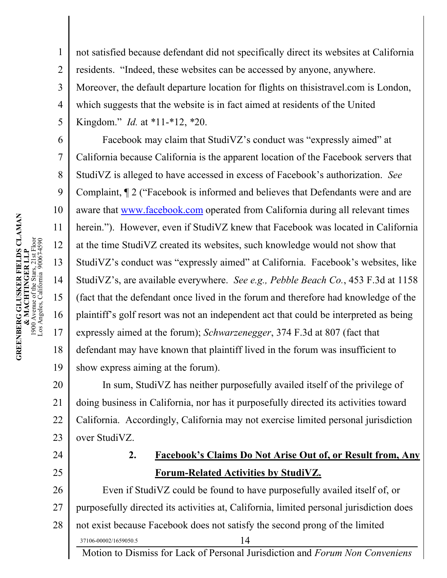1

2 3 4 5 not satisfied because defendant did not specifically direct its websites at California residents. "Indeed, these websites can be accessed by anyone, anywhere. Moreover, the default departure location for flights on thisistravel.com is London, which suggests that the website is in fact aimed at residents of the United Kingdom." *Id.* at \*11-\*12, \*20.

6 7 8 9 10 11 12 13 14 15 16 17 18 19 Facebook may claim that StudiVZ's conduct was "expressly aimed" at California because California is the apparent location of the Facebook servers that StudiVZ is alleged to have accessed in excess of Facebook's authorization. *See*  Complaint, ¶ 2 ("Facebook is informed and believes that Defendants were and are aware that<www.facebook.com> operated from California during all relevant times herein."). However, even if StudiVZ knew that Facebook was located in California at the time StudiVZ created its websites, such knowledge would not show that StudiVZ's conduct was "expressly aimed" at California. Facebook's websites, like StudiVZ's, are available everywhere. *See e.g., Pebble Beach Co.*, 453 F.3d at 1158 (fact that the defendant once lived in the forum and therefore had knowledge of the plaintiff's golf resort was not an independent act that could be interpreted as being expressly aimed at the forum); *Schwarzenegger*, 374 F.3d at 807 (fact that defendant may have known that plaintiff lived in the forum was insufficient to show express aiming at the forum).

20 21 22 23 In sum, StudiVZ has neither purposefully availed itself of the privilege of doing business in California, nor has it purposefully directed its activities toward California. Accordingly, California may not exercise limited personal jurisdiction over StudiVZ.

### 24 25

### **2. Facebook's Claims Do Not Arise Out of, or Result from, Any Forum-Related Activities by StudiVZ.**

26 27 28 37106-00002/1659050.5 14 Even if StudiVZ could be found to have purposefully availed itself of, or purposefully directed its activities at, California, limited personal jurisdiction does not exist because Facebook does not satisfy the second prong of the limited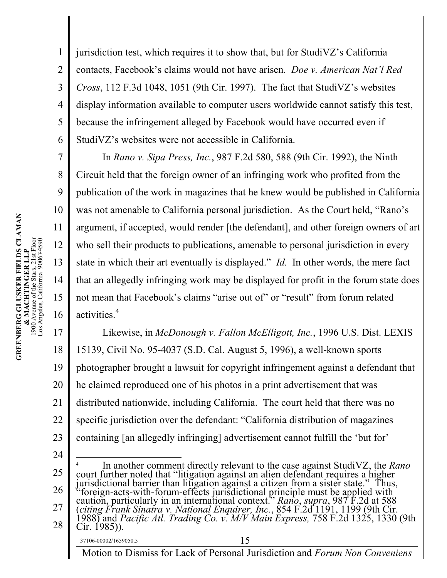3 4 6 jurisdiction test, which requires it to show that, but for StudiVZ's California contacts, Facebook's claims would not have arisen. *Doe v. American Nat'l Red Cross*, 112 F.3d 1048, 1051 (9th Cir. 1997). The fact that StudiVZ's websites display information available to computer users worldwide cannot satisfy this test, because the infringement alleged by Facebook would have occurred even if StudiVZ's websites were not accessible in California.

In *Rano v. Sipa Press, Inc.*, 987 F.2d 580, 588 (9th Cir. 1992), the Ninth Circuit held that the foreign owner of an infringing work who profited from the publication of the work in magazines that he knew would be published in California was not amenable to California personal jurisdiction. As the Court held, "Rano's argument, if accepted, would render [the defendant], and other foreign owners of art who sell their products to publications, amenable to personal jurisdiction in every state in which their art eventually is displayed." *Id.* In other words, the mere fact that an allegedly infringing work may be displayed for profit in the forum state does not mean that Facebook's claims "arise out of" or "result" from forum related activities.<sup>4</sup>

17 18 19 20 21 22 23 Likewise, in *McDonough v. Fallon McElligott, Inc.*, 1996 U.S. Dist. LEXIS 15139, Civil No. 95-4037 (S.D. Cal. August 5, 1996), a well-known sports photographer brought a lawsuit for copyright infringement against a defendant that he claimed reproduced one of his photos in a print advertisement that was distributed nationwide, including California. The court held that there was no specific jurisdiction over the defendant: "California distribution of magazines containing [an allegedly infringing] advertisement cannot fulfill the 'but for'

24 25 26 27 28 37106-00002/1659050.5 15 4 In another comment directly relevant to the case against StudiVZ, the *Rano*  court further noted that "litigation against an alien defendant requires a higher jurisdictional barrier than litigation against a citizen from a sister state." Thus, "foreign-acts-with-forum-effects jurisdictional principle must be applied with caution, particularly in an international context." *Rano*, *supra*, 987 F.2d at 588 (*citing Frank Sinatra v. National Enquirer, Inc.*, 854 F.2d 1191, 1199 (9th Cir. 1988) and *Pacific Atl. Trading Co. v. M/V Main Express,* 758 F.2d 1325, 1330 (9th Cir. 1985)).

Motion to Dismiss for Lack of Personal Jurisdiction and *Forum Non Conveniens*

1

2

5

7

8

9

10

11

12

13

14

15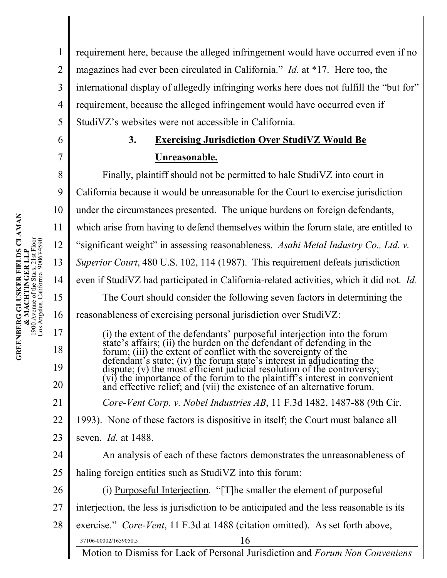1 2 3 4 5 requirement here, because the alleged infringement would have occurred even if no magazines had ever been circulated in California." *Id.* at \*17. Here too, the international display of allegedly infringing works here does not fulfill the "but for" requirement, because the alleged infringement would have occurred even if StudiVZ's websites were not accessible in California.

## **3. Exercising Jurisdiction Over StudiVZ Would Be Unreasonable.**

Finally, plaintiff should not be permitted to hale StudiVZ into court in California because it would be unreasonable for the Court to exercise jurisdiction under the circumstances presented. The unique burdens on foreign defendants, which arise from having to defend themselves within the forum state, are entitled to "significant weight" in assessing reasonableness. *Asahi Metal Industry Co., Ltd. v. Superior Court*, 480 U.S. 102, 114 (1987). This requirement defeats jurisdiction even if StudiVZ had participated in California-related activities, which it did not. *Id.* The Court should consider the following seven factors in determining the reasonableness of exercising personal jurisdiction over StudiVZ:

(i) the extent of the defendants' purposeful interjection into the forum state's affairs; (ii) the burden on the defendant of defending in the forum; (iii) the extent of conflict with the sovereignty of the defendant's state; (iv) the forum state's interest in adjudicating the dispute; (v) the most efficient judicial resolution of the controversy; (vi) the importance of the forum to the plaintiff's interest in convenient and effective relief; and (vii) the existence of an alternative forum. *Core-Vent Corp. v. Nobel Industries AB*, 11 F.3d 1482, 1487-88 (9th Cir.

22 1993). None of these factors is dispositive in itself; the Court must balance all

- 23 seven. *Id.* at 1488.
- 24 An analysis of each of these factors demonstrates the unreasonableness of
- 25 haling foreign entities such as StudiVZ into this forum:
	- (i) Purposeful Interjection. "[T]he smaller the element of purposeful
- 27 interjection, the less is jurisdiction to be anticipated and the less reasonable is its
- 28  $37106-00002/1659050.5$  16 exercise." *Core-Vent*, 11 F.3d at 1488 (citation omitted). As set forth above,

Motion to Dismiss for Lack of Personal Jurisdiction and *Forum Non Conveniens*

6

7

8

9

10

11

12

13

14

15

16

17

18

19

20

21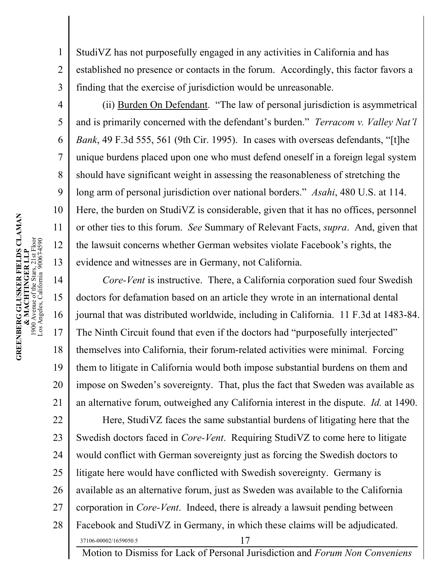3 StudiVZ has not purposefully engaged in any activities in California and has established no presence or contacts in the forum. Accordingly, this factor favors a finding that the exercise of jurisdiction would be unreasonable.

(ii) Burden On Defendant. "The law of personal jurisdiction is asymmetrical and is primarily concerned with the defendant's burden." *Terracom v. Valley Nat'l Bank*, 49 F.3d 555, 561 (9th Cir. 1995). In cases with overseas defendants, "[t]he unique burdens placed upon one who must defend oneself in a foreign legal system should have significant weight in assessing the reasonableness of stretching the long arm of personal jurisdiction over national borders." *Asahi*, 480 U.S. at 114. Here, the burden on StudiVZ is considerable, given that it has no offices, personnel or other ties to this forum. *See* Summary of Relevant Facts, *supra*. And, given that the lawsuit concerns whether German websites violate Facebook's rights, the evidence and witnesses are in Germany, not California.

14 15 16 17 18 19 20 21 22 23 24 25 26 27 28 37106-00002/1659050.5 17 *Core-Vent* is instructive. There, a California corporation sued four Swedish doctors for defamation based on an article they wrote in an international dental journal that was distributed worldwide, including in California. 11 F.3d at 1483-84. The Ninth Circuit found that even if the doctors had "purposefully interjected" themselves into California, their forum-related activities were minimal. Forcing them to litigate in California would both impose substantial burdens on them and impose on Sweden's sovereignty. That, plus the fact that Sweden was available as an alternative forum, outweighed any California interest in the dispute. *Id.* at 1490. Here, StudiVZ faces the same substantial burdens of litigating here that the Swedish doctors faced in *Core-Vent*. Requiring StudiVZ to come here to litigate would conflict with German sovereignty just as forcing the Swedish doctors to litigate here would have conflicted with Swedish sovereignty. Germany is available as an alternative forum, just as Sweden was available to the California corporation in *Core-Vent*. Indeed, there is already a lawsuit pending between Facebook and StudiVZ in Germany, in which these claims will be adjudicated.

Motion to Dismiss for Lack of Personal Jurisdiction and *Forum Non Conveniens*

1

2

4

5

6

7

8

9

10

11

12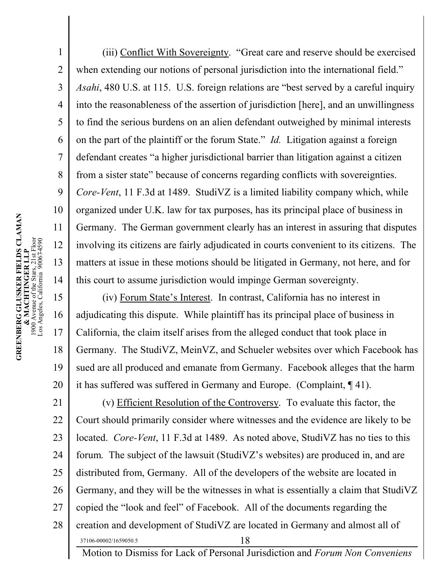(iii) Conflict With Sovereignty. "Great care and reserve should be exercised when extending our notions of personal jurisdiction into the international field." *Asahi*, 480 U.S. at 115. U.S. foreign relations are "best served by a careful inquiry into the reasonableness of the assertion of jurisdiction [here], and an unwillingness to find the serious burdens on an alien defendant outweighed by minimal interests on the part of the plaintiff or the forum State." *Id.* Litigation against a foreign defendant creates "a higher jurisdictional barrier than litigation against a citizen from a sister state" because of concerns regarding conflicts with sovereignties. *Core-Vent*, 11 F.3d at 1489. StudiVZ is a limited liability company which, while organized under U.K. law for tax purposes, has its principal place of business in Germany. The German government clearly has an interest in assuring that disputes involving its citizens are fairly adjudicated in courts convenient to its citizens. The matters at issue in these motions should be litigated in Germany, not here, and for this court to assume jurisdiction would impinge German sovereignty.

15 16 17 18 19 20 (iv) Forum State's Interest. In contrast, California has no interest in adjudicating this dispute. While plaintiff has its principal place of business in California, the claim itself arises from the alleged conduct that took place in Germany. The StudiVZ, MeinVZ, and Schueler websites over which Facebook has sued are all produced and emanate from Germany. Facebook alleges that the harm it has suffered was suffered in Germany and Europe. (Complaint, ¶ 41).

21 22 23 24 25 26 27 28 37106-00002/1659050.5 18 Motion to Dismiss for Lack of Personal Jurisdiction and *Forum Non Conveniens* (v) Efficient Resolution of the Controversy. To evaluate this factor, the Court should primarily consider where witnesses and the evidence are likely to be located. *Core-Vent*, 11 F.3d at 1489. As noted above, StudiVZ has no ties to this forum. The subject of the lawsuit (StudiVZ's websites) are produced in, and are distributed from, Germany. All of the developers of the website are located in Germany, and they will be the witnesses in what is essentially a claim that StudiVZ copied the "look and feel" of Facebook. All of the documents regarding the creation and development of StudiVZ are located in Germany and almost all of

1

2

3

4

5

6

7

8

9

10

11

12

13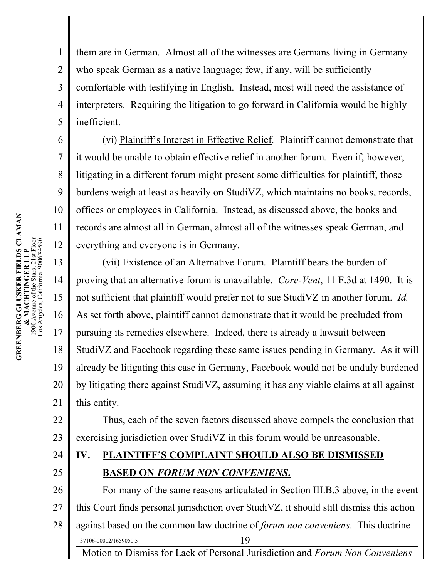1

2

3

4

5

6

7

8

9

10

11

12

them are in German. Almost all of the witnesses are Germans living in Germany who speak German as a native language; few, if any, will be sufficiently comfortable with testifying in English. Instead, most will need the assistance of interpreters. Requiring the litigation to go forward in California would be highly inefficient.

(vi) Plaintiff's Interest in Effective Relief. Plaintiff cannot demonstrate that it would be unable to obtain effective relief in another forum. Even if, however, litigating in a different forum might present some difficulties for plaintiff, those burdens weigh at least as heavily on StudiVZ, which maintains no books, records, offices or employees in California. Instead, as discussed above, the books and records are almost all in German, almost all of the witnesses speak German, and everything and everyone is in Germany.

13 14 15 16 17 18 19 20 21 (vii) Existence of an Alternative Forum. Plaintiff bears the burden of proving that an alternative forum is unavailable. *Core-Vent*, 11 F.3d at 1490. It is not sufficient that plaintiff would prefer not to sue StudiVZ in another forum. *Id.* As set forth above, plaintiff cannot demonstrate that it would be precluded from pursuing its remedies elsewhere. Indeed, there is already a lawsuit between StudiVZ and Facebook regarding these same issues pending in Germany. As it will already be litigating this case in Germany, Facebook would not be unduly burdened by litigating there against StudiVZ, assuming it has any viable claims at all against this entity.

22 23 Thus, each of the seven factors discussed above compels the conclusion that exercising jurisdiction over StudiVZ in this forum would be unreasonable.

24 25

## **IV. PLAINTIFF'S COMPLAINT SHOULD ALSO BE DISMISSED BASED ON** *FORUM NON CONVENIENS***.**

26 27 28 37106-00002/1659050.5 19 For many of the same reasons articulated in Section III.B.3 above, in the event this Court finds personal jurisdiction over StudiVZ, it should still dismiss this action against based on the common law doctrine of *forum non conveniens*. This doctrine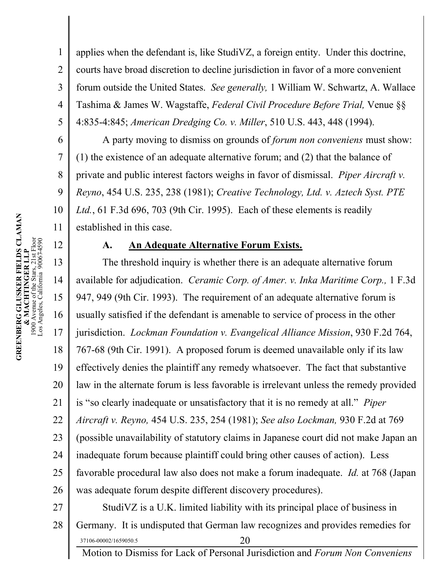6

7

8

9

10

11

12

1 2 3 4 5 applies when the defendant is, like StudiVZ, a foreign entity. Under this doctrine, courts have broad discretion to decline jurisdiction in favor of a more convenient forum outside the United States. *See generally,* 1 William W. Schwartz, A. Wallace Tashima & James W. Wagstaffe, *Federal Civil Procedure Before Trial,* Venue §§ 4:835-4:845; *American Dredging Co. v. Miller*, 510 U.S. 443, 448 (1994).

A party moving to dismiss on grounds of *forum non conveniens* must show: (1) the existence of an adequate alternative forum; and (2) that the balance of private and public interest factors weighs in favor of dismissal. *Piper Aircraft v. Reyno*, 454 U.S. 235, 238 (1981); *Creative Technology, Ltd. v. Aztech Syst. PTE Ltd.*, 61 F.3d 696, 703 (9th Cir. 1995). Each of these elements is readily established in this case.

#### **A. An Adequate Alternative Forum Exists.**

13 14 15 16 17 18 19 20 21 22 23 24 25 26 27 The threshold inquiry is whether there is an adequate alternative forum available for adjudication. *Ceramic Corp. of Amer. v. Inka Maritime Corp.,* 1 F.3d 947, 949 (9th Cir. 1993). The requirement of an adequate alternative forum is usually satisfied if the defendant is amenable to service of process in the other jurisdiction. *Lockman Foundation v. Evangelical Alliance Mission*, 930 F.2d 764, 767-68 (9th Cir. 1991). A proposed forum is deemed unavailable only if its law effectively denies the plaintiff any remedy whatsoever. The fact that substantive law in the alternate forum is less favorable is irrelevant unless the remedy provided is "so clearly inadequate or unsatisfactory that it is no remedy at all." *Piper Aircraft v. Reyno,* 454 U.S. 235, 254 (1981); *See also Lockman,* 930 F.2d at 769 (possible unavailability of statutory claims in Japanese court did not make Japan an inadequate forum because plaintiff could bring other causes of action). Less favorable procedural law also does not make a forum inadequate. *Id.* at 768 (Japan was adequate forum despite different discovery procedures). StudiVZ is a U.K. limited liability with its principal place of business in

28  $37106-00002/1659050.5$  20 Germany. It is undisputed that German law recognizes and provides remedies for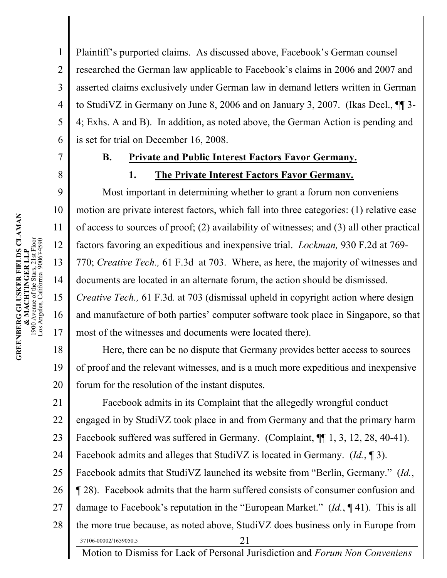Plaintiff's purported claims. As discussed above, Facebook's German counsel researched the German law applicable to Facebook's claims in 2006 and 2007 and asserted claims exclusively under German law in demand letters written in German to StudiVZ in Germany on June 8, 2006 and on January 3, 2007. (Ikas Decl., ¶¶ 3- 4; Exhs. A and B). In addition, as noted above, the German Action is pending and is set for trial on December 16, 2008.

1

2

3

4

5

6

7

8

9

10

11

12

13

14

15

16

17

### **B. Private and Public Interest Factors Favor Germany.**

#### **1. The Private Interest Factors Favor Germany.**

Most important in determining whether to grant a forum non conveniens motion are private interest factors, which fall into three categories: (1) relative ease of access to sources of proof; (2) availability of witnesses; and (3) all other practical factors favoring an expeditious and inexpensive trial. *Lockman,* 930 F.2d at 769- 770; *Creative Tech.,* 61 F.3d at 703. Where, as here, the majority of witnesses and documents are located in an alternate forum, the action should be dismissed. *Creative Tech.,* 61 F.3d*.* at 703 (dismissal upheld in copyright action where design and manufacture of both parties' computer software took place in Singapore, so that most of the witnesses and documents were located there).

18 19 20 Here, there can be no dispute that Germany provides better access to sources of proof and the relevant witnesses, and is a much more expeditious and inexpensive forum for the resolution of the instant disputes.

21 22 23 24 25 26 27 28  $37106-00002/1659050.5$  21 Facebook admits in its Complaint that the allegedly wrongful conduct engaged in by StudiVZ took place in and from Germany and that the primary harm Facebook suffered was suffered in Germany. (Complaint,  $\P$ [1, 3, 12, 28, 40-41). Facebook admits and alleges that StudiVZ is located in Germany. (*Id.*, ¶ 3). Facebook admits that StudiVZ launched its website from "Berlin, Germany." (*Id.*, ¶ 28). Facebook admits that the harm suffered consists of consumer confusion and damage to Facebook's reputation in the "European Market." (*Id.*, ¶ 41). This is all the more true because, as noted above, StudiVZ does business only in Europe from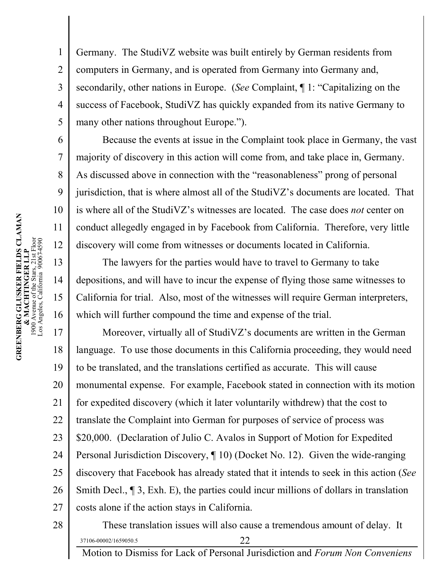1 2 3 4 5 6 Germany. The StudiVZ website was built entirely by German residents from computers in Germany, and is operated from Germany into Germany and, secondarily, other nations in Europe. (*See* Complaint, ¶ 1: "Capitalizing on the success of Facebook, StudiVZ has quickly expanded from its native Germany to many other nations throughout Europe.").

Because the events at issue in the Complaint took place in Germany, the vast majority of discovery in this action will come from, and take place in, Germany. As discussed above in connection with the "reasonableness" prong of personal jurisdiction, that is where almost all of the StudiVZ's documents are located. That is where all of the StudiVZ's witnesses are located. The case does *not* center on conduct allegedly engaged in by Facebook from California. Therefore, very little discovery will come from witnesses or documents located in California.

The lawyers for the parties would have to travel to Germany to take depositions, and will have to incur the expense of flying those same witnesses to California for trial. Also, most of the witnesses will require German interpreters, which will further compound the time and expense of the trial.

17 18 19 20 21 22 23 24 25 26 27 Moreover, virtually all of StudiVZ's documents are written in the German language. To use those documents in this California proceeding, they would need to be translated, and the translations certified as accurate. This will cause monumental expense. For example, Facebook stated in connection with its motion for expedited discovery (which it later voluntarily withdrew) that the cost to translate the Complaint into German for purposes of service of process was \$20,000. (Declaration of Julio C. Avalos in Support of Motion for Expedited Personal Jurisdiction Discovery, ¶ 10) (Docket No. 12). Given the wide-ranging discovery that Facebook has already stated that it intends to seek in this action (*See*  Smith Decl., ¶ 3, Exh. E), the parties could incur millions of dollars in translation costs alone if the action stays in California.

28

 $37106-00002/1659050.5$  22 These translation issues will also cause a tremendous amount of delay. It

Motion to Dismiss for Lack of Personal Jurisdiction and *Forum Non Conveniens*

7

8

9

10

11

12

13

14

15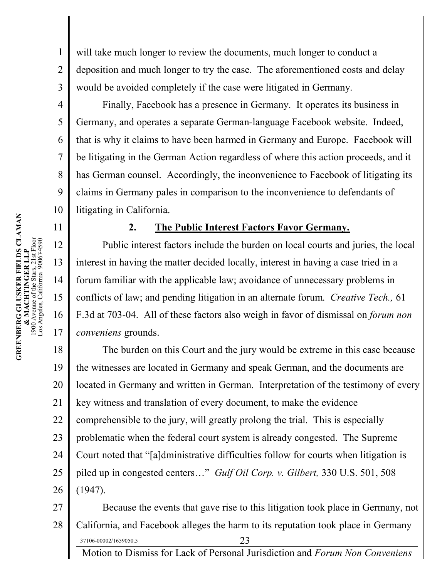will take much longer to review the documents, much longer to conduct a deposition and much longer to try the case. The aforementioned costs and delay would be avoided completely if the case were litigated in Germany.

Finally, Facebook has a presence in Germany. It operates its business in Germany, and operates a separate German-language Facebook website. Indeed, that is why it claims to have been harmed in Germany and Europe. Facebook will be litigating in the German Action regardless of where this action proceeds, and it has German counsel. Accordingly, the inconvenience to Facebook of litigating its claims in Germany pales in comparison to the inconvenience to defendants of litigating in California.

### **2. The Public Interest Factors Favor Germany.**

Public interest factors include the burden on local courts and juries, the local interest in having the matter decided locally, interest in having a case tried in a forum familiar with the applicable law; avoidance of unnecessary problems in conflicts of law; and pending litigation in an alternate forum. *Creative Tech.,* 61 F.3d at 703*-*04. All of these factors also weigh in favor of dismissal on *forum non conveniens* grounds.

18 19 20 21 22 23 24 25 26 The burden on this Court and the jury would be extreme in this case because the witnesses are located in Germany and speak German, and the documents are located in Germany and written in German. Interpretation of the testimony of every key witness and translation of every document, to make the evidence comprehensible to the jury, will greatly prolong the trial. This is especially problematic when the federal court system is already congested. The Supreme Court noted that "[a]dministrative difficulties follow for courts when litigation is piled up in congested centers…" *Gulf Oil Corp. v. Gilbert,* 330 U.S. 501, 508 (1947).

27 28 37106-00002/1659050.5 23 Because the events that gave rise to this litigation took place in Germany, not California, and Facebook alleges the harm to its reputation took place in Germany

Motion to Dismiss for Lack of Personal Jurisdiction and *Forum Non Conveniens*

1

2

3

4

5

6

7

8

9

10

11

12

13

14

15

16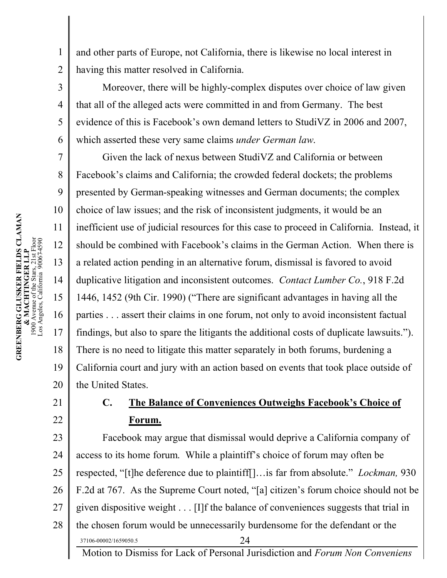and other parts of Europe, not California, there is likewise no local interest in having this matter resolved in California.

Moreover, there will be highly-complex disputes over choice of law given that all of the alleged acts were committed in and from Germany. The best evidence of this is Facebook's own demand letters to StudiVZ in 2006 and 2007, which asserted these very same claims *under German law*.

Given the lack of nexus between StudiVZ and California or between Facebook's claims and California; the crowded federal dockets; the problems presented by German-speaking witnesses and German documents; the complex choice of law issues; and the risk of inconsistent judgments, it would be an inefficient use of judicial resources for this case to proceed in California. Instead, it should be combined with Facebook's claims in the German Action. When there is a related action pending in an alternative forum, dismissal is favored to avoid duplicative litigation and inconsistent outcomes. *Contact Lumber Co.*, 918 F.2d 1446, 1452 (9th Cir. 1990) ("There are significant advantages in having all the parties . . . assert their claims in one forum, not only to avoid inconsistent factual findings, but also to spare the litigants the additional costs of duplicate lawsuits."). There is no need to litigate this matter separately in both forums, burdening a California court and jury with an action based on events that took place outside of the United States.

### 21 22

1

2

3

4

5

6

7

8

9

10

11

12

13

14

15

16

17

18

19

20

# **C. The Balance of Conveniences Outweighs Facebook's Choice of Forum.**

23 24 25 26 27 28 37106-00002/1659050.5 24 Facebook may argue that dismissal would deprive a California company of access to its home forum. While a plaintiff's choice of forum may often be respected, "[t]he deference due to plaintiff[]…is far from absolute." *Lockman,* 930 F.2d at 767. As the Supreme Court noted, "[a] citizen's forum choice should not be given dispositive weight . . . [I]f the balance of conveniences suggests that trial in the chosen forum would be unnecessarily burdensome for the defendant or the